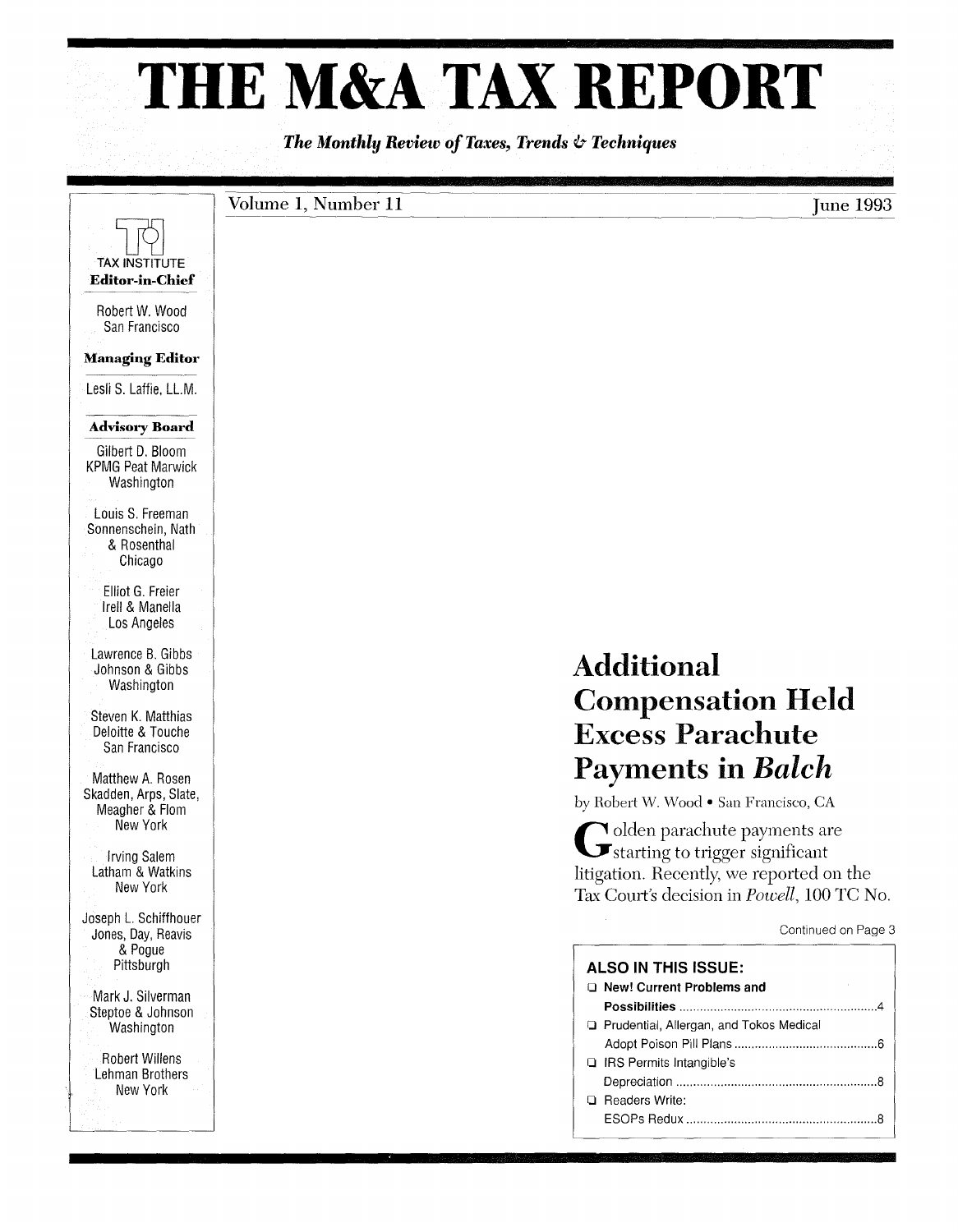# **THE M&A TAX REPORT**

*The Monthly Review of Taxes, Trends* & *Techniques* 

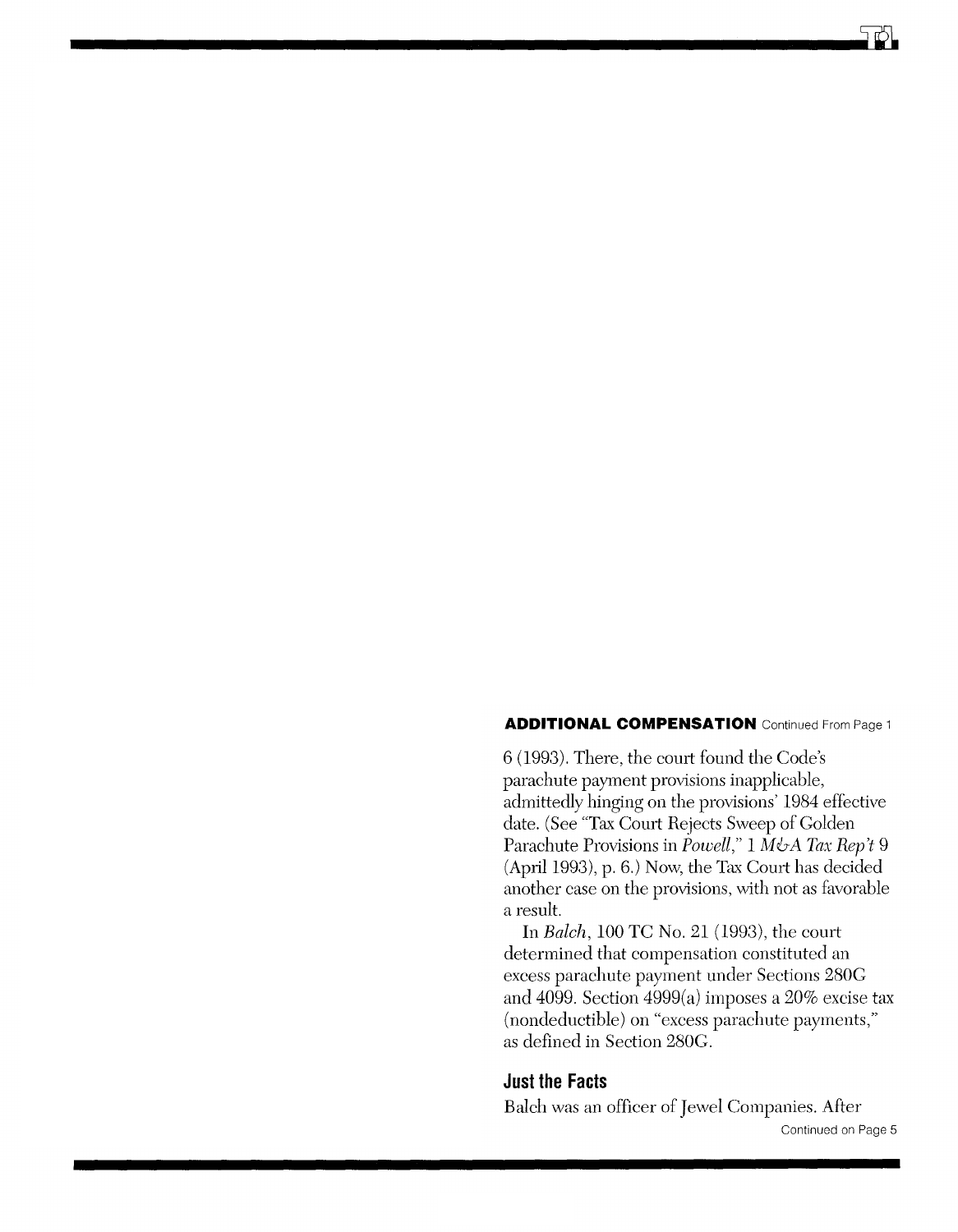#### **ADDITIONAL COMPENSATION** Continued From Page 1

6 (1993). There, the comt found the Code's parachute payment provisions inapplicable, admittedly hinging on the provisions' 1984 effective date. (See "Tax Comt Rejects Sweep of Golden Parachute Provisions in *Powell,"* 1 *M&A Tax Rep't 9*  (April 1993), p. 6.) Now, the Tax Comt has decided another case on the provisions, with not as favorable a result.

**In** *Balch,* 100 TC No. 21 (1993), the court determined that compensation constituted an excess parachute payment under Sections *280G*  and 4099. Section 4999(a) imposes a 20% excise tax (nondeductible) on "excess parachute payments," as defined in Section *280G.* 

## **Just the Facts**

Balch was an officer of Jewel Companies. After Continued on Page 5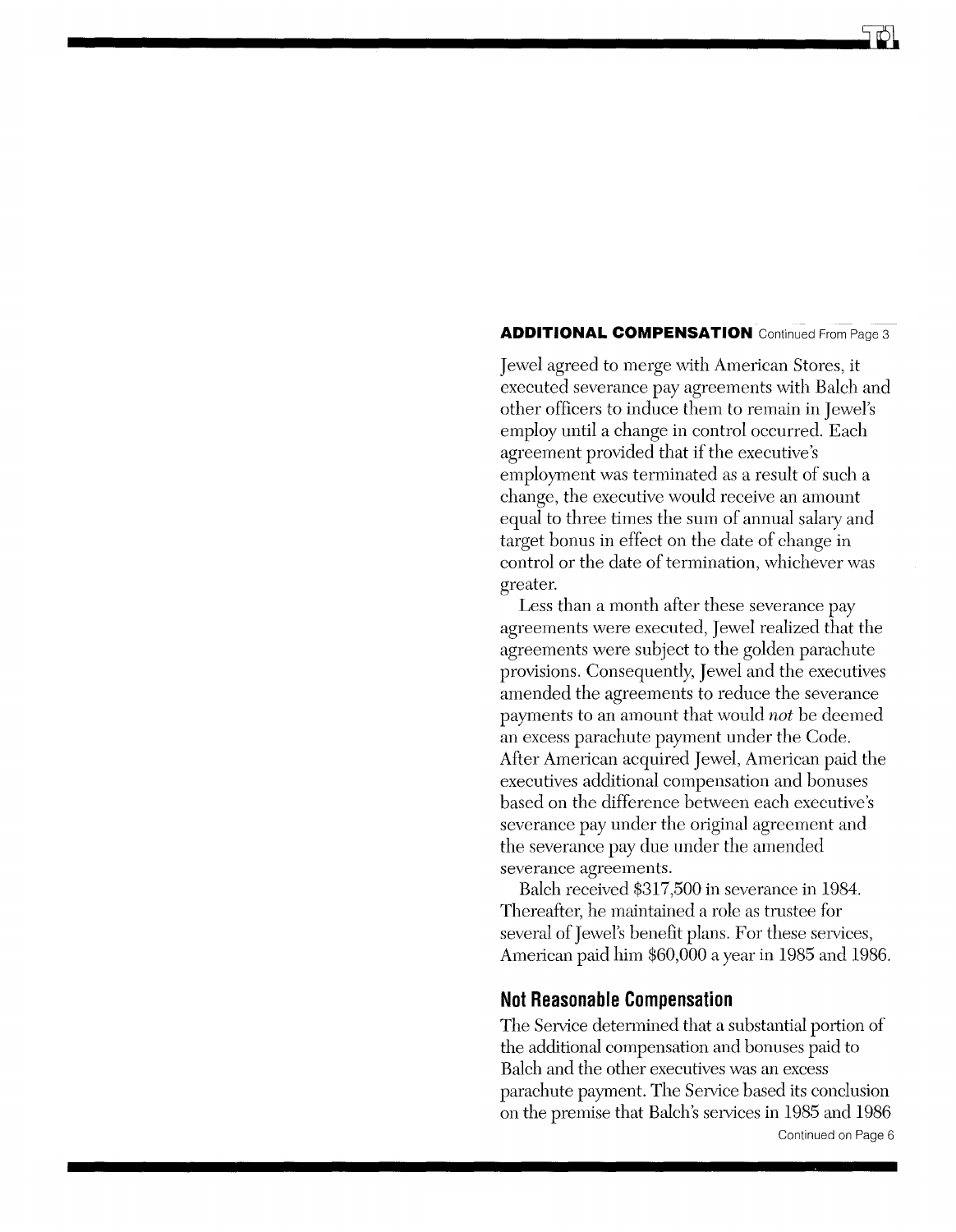#### **ADDITIONAL COMPENSATION** Continued From Page 3

Jewel agreed to merge \\lith American Stores, it executed severance pay agreements with Balch and other officers to induce them to remain in Jewel's employ until a change in control occurred. Each agreement provided that if the executive's employment was terminated as a result of such a change, the executive would receive an amount equal to three times the sum of annual salary and target bonus in effect on the date of change in control or the date of termination, whichever was greater.

Less than a month after these severance pay agreements were executed, Jewel realized that the agreements were subject to the golden parachute provisions. Consequently, Jewel and the executives amended the agreements to reduce the severance payments to an amount that would *not* be deemed an excess parachute payment under the Code. After American acquired Jewel, American paid the executives additional compensation and bonuses based on the difference between each executive's severance pay under the original agreement and the severance pay due under the amended severance agreements.

Balch received \$317,500 in severance in 1984. Thereafter, he maintained a role as trustee for several of Jewel's benefit plans. For these services, American paid him \$60,000 a year in 1985 and 1986.

## **Not Reasonable Compensation**

The Service determined that a substantial portion of the additional compensation and bonuses paid to Balch and the other executives was an excess parachute payment. The Service based its conclusion on the premise that Balch's services in 1985 and 1986 Continued on Page 6